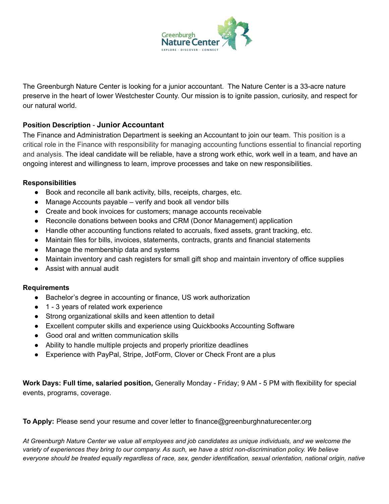

The Greenburgh Nature Center is looking for a junior accountant. The Nature Center is a 33-acre nature preserve in the heart of lower Westchester County. Our mission is to ignite passion, curiosity, and respect for our natural world.

## **Position Description** - **Junior Accountant**

The Finance and Administration Department is seeking an Accountant to join our team. This position is a critical role in the Finance with responsibility for managing accounting functions essential to financial reporting and analysis. The ideal candidate will be reliable, have a strong work ethic, work well in a team, and have an ongoing interest and willingness to learn, improve processes and take on new responsibilities.

## **Responsibilities**

- Book and reconcile all bank activity, bills, receipts, charges, etc.
- Manage Accounts payable verify and book all vendor bills
- Create and book invoices for customers; manage accounts receivable
- Reconcile donations between books and CRM (Donor Management) application
- Handle other accounting functions related to accruals, fixed assets, grant tracking, etc.
- Maintain files for bills, invoices, statements, contracts, grants and financial statements
- Manage the membership data and systems
- Maintain inventory and cash registers for small gift shop and maintain inventory of office supplies
- Assist with annual audit

## **Requirements**

- Bachelor's degree in accounting or finance, US work authorization
- 1 3 years of related work experience
- Strong organizational skills and keen attention to detail
- Excellent computer skills and experience using Quickbooks Accounting Software
- Good oral and written communication skills
- Ability to handle multiple projects and properly prioritize deadlines
- Experience with PayPal, Stripe, JotForm, Clover or Check Front are a plus

**Work Days: Full time, salaried position,** Generally Monday - Friday; 9 AM - 5 PM with flexibility for special events, programs, coverage.

**To Apply:** Please send your resume and cover letter to finance@greenburghnaturecenter.org

At Greenburgh Nature Center we value all employees and job candidates as unique individuals, and we welcome the variety of experiences they bring to our company. As such, we have a strict non-discrimination policy. We believe everyone should be treated equally regardless of race, sex, gender identification, sexual orientation, national origin, native